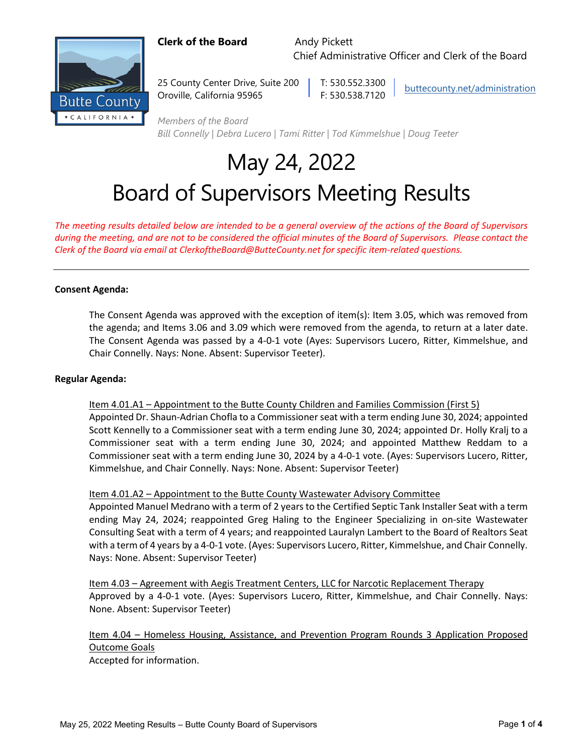### **Clerk of the Board** Andy Pickett

Chief Administrative Officer and Clerk of the Board



25 County Center Drive, Suite 200 | T: 530.552.3300 Oroville, California 95965 F: 530.538.7120

[buttecounty.net/administration](http://www.buttecounty.net/administration/Home.aspx)

*Members of the Board Bill Connelly | Debra Lucero | Tami Ritter | Tod Kimmelshue | Doug Teeter*

# May 24, 2022 Board of Supervisors Meeting Results

*The meeting results detailed below are intended to be a general overview of the actions of the Board of Supervisors during the meeting, and are not to be considered the official minutes of the Board of Supervisors. Please contact the Clerk of the Board via email at ClerkoftheBoard@ButteCounty.net for specific item-related questions.*

#### **Consent Agenda:**

The Consent Agenda was approved with the exception of item(s): Item 3.05, which was removed from the agenda; and Items 3.06 and 3.09 which were removed from the agenda, to return at a later date. The Consent Agenda was passed by a 4-0-1 vote (Ayes: Supervisors Lucero, Ritter, Kimmelshue, and Chair Connelly. Nays: None. Absent: Supervisor Teeter).

#### **Regular Agenda:**

Item 4.01.A1 – Appointment to the Butte County Children and Families Commission (First 5)

Appointed Dr. Shaun-Adrian Chofla to a Commissioner seat with a term ending June 30, 2024; appointed Scott Kennelly to a Commissioner seat with a term ending June 30, 2024; appointed Dr. Holly Kralj to a Commissioner seat with a term ending June 30, 2024; and appointed Matthew Reddam to a Commissioner seat with a term ending June 30, 2024 by a 4-0-1 vote. (Ayes: Supervisors Lucero, Ritter, Kimmelshue, and Chair Connelly. Nays: None. Absent: Supervisor Teeter)

#### Item 4.01.A2 – Appointment to the Butte County Wastewater Advisory Committee

Appointed Manuel Medrano with a term of 2 years to the Certified Septic Tank Installer Seat with a term ending May 24, 2024; reappointed Greg Haling to the Engineer Specializing in on-site Wastewater Consulting Seat with a term of 4 years; and reappointed Lauralyn Lambert to the Board of Realtors Seat with a term of 4 years by a 4-0-1 vote. (Ayes: Supervisors Lucero, Ritter, Kimmelshue, and Chair Connelly. Nays: None. Absent: Supervisor Teeter)

Item 4.03 – Agreement with Aegis Treatment Centers, LLC for Narcotic Replacement Therapy Approved by a 4-0-1 vote. (Ayes: Supervisors Lucero, Ritter, Kimmelshue, and Chair Connelly. Nays: None. Absent: Supervisor Teeter)

Item 4.04 – Homeless Housing, Assistance, and Prevention Program Rounds 3 Application Proposed Outcome Goals

Accepted for information.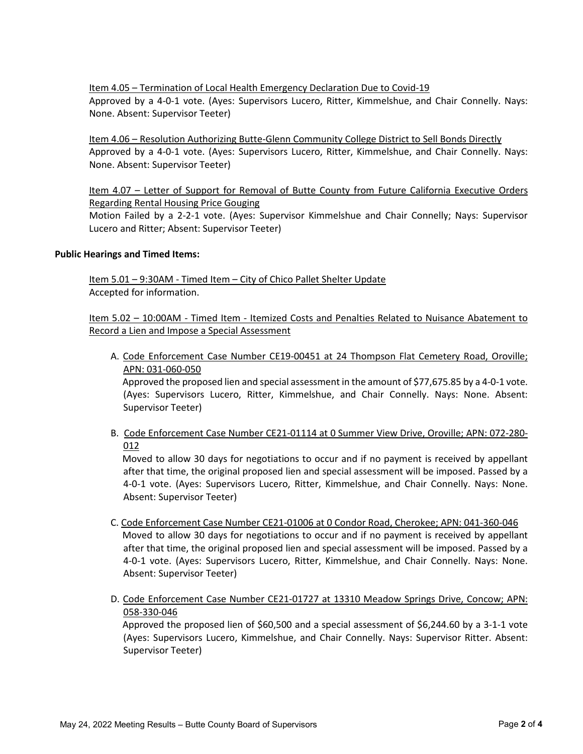Item 4.05 – Termination of Local Health Emergency Declaration Due to Covid-19 Approved by a 4-0-1 vote. (Ayes: Supervisors Lucero, Ritter, Kimmelshue, and Chair Connelly. Nays: None. Absent: Supervisor Teeter)

Item 4.06 – Resolution Authorizing Butte-Glenn Community College District to Sell Bonds Directly Approved by a 4-0-1 vote. (Ayes: Supervisors Lucero, Ritter, Kimmelshue, and Chair Connelly. Nays: None. Absent: Supervisor Teeter)

Item 4.07 – Letter of Support for Removal of Butte County from Future California Executive Orders Regarding Rental Housing Price Gouging

Motion Failed by a 2-2-1 vote. (Ayes: Supervisor Kimmelshue and Chair Connelly; Nays: Supervisor Lucero and Ritter; Absent: Supervisor Teeter)

#### **Public Hearings and Timed Items:**

Item 5.01 - 9:30AM - Timed Item - City of Chico Pallet Shelter Update Accepted for information.

Item 5.02 – 10:00AM - Timed Item - Itemized Costs and Penalties Related to Nuisance Abatement to Record a Lien and Impose a Special Assessment

A. Code Enforcement Case Number CE19-00451 at 24 Thompson Flat Cemetery Road, Oroville; APN: 031-060-050

 Approved the proposed lien and special assessment in the amount of \$77,675.85 by a 4-0-1 vote. (Ayes: Supervisors Lucero, Ritter, Kimmelshue, and Chair Connelly. Nays: None. Absent: Supervisor Teeter)

B. Code Enforcement Case Number CE21-01114 at 0 Summer View Drive, Oroville; APN: 072-280- 012

 Moved to allow 30 days for negotiations to occur and if no payment is received by appellant after that time, the original proposed lien and special assessment will be imposed. Passed by a 4-0-1 vote. (Ayes: Supervisors Lucero, Ritter, Kimmelshue, and Chair Connelly. Nays: None. Absent: Supervisor Teeter)

- C. Code Enforcement Case Number CE21-01006 at 0 Condor Road, Cherokee; APN: 041-360-046 Moved to allow 30 days for negotiations to occur and if no payment is received by appellant after that time, the original proposed lien and special assessment will be imposed. Passed by a 4-0-1 vote. (Ayes: Supervisors Lucero, Ritter, Kimmelshue, and Chair Connelly. Nays: None. Absent: Supervisor Teeter)
- D. Code Enforcement Case Number CE21-01727 at 13310 Meadow Springs Drive, Concow; APN: 058-330-046

 Approved the proposed lien of \$60,500 and a special assessment of \$6,244.60 by a 3-1-1 vote (Ayes: Supervisors Lucero, Kimmelshue, and Chair Connelly. Nays: Supervisor Ritter. Absent: Supervisor Teeter)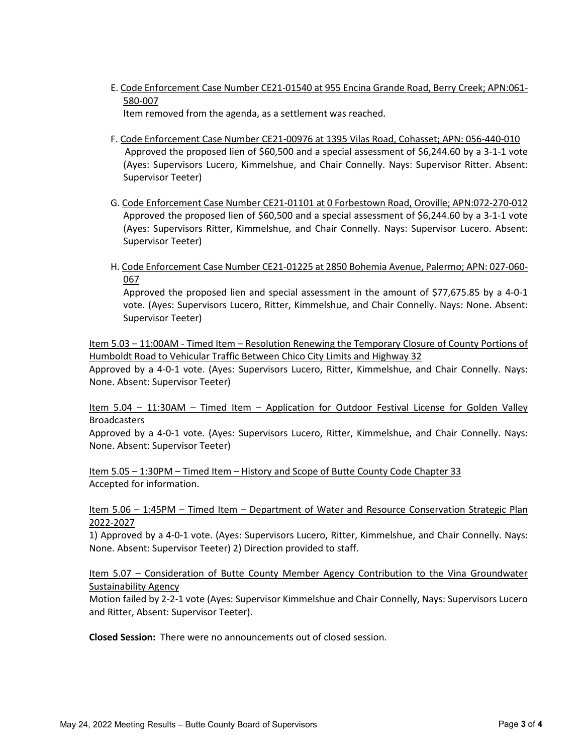E. Code Enforcement Case Number CE21-01540 at 955 Encina Grande Road, Berry Creek; APN:061- 580-007

Item removed from the agenda, as a settlement was reached.

- F. Code Enforcement Case Number CE21-00976 at 1395 Vilas Road, Cohasset; APN: 056-440-010 Approved the proposed lien of \$60,500 and a special assessment of \$6,244.60 by a 3-1-1 vote (Ayes: Supervisors Lucero, Kimmelshue, and Chair Connelly. Nays: Supervisor Ritter. Absent: Supervisor Teeter)
- G. Code Enforcement Case Number CE21-01101 at 0 Forbestown Road, Oroville; APN:072-270-012 Approved the proposed lien of \$60,500 and a special assessment of \$6,244.60 by a 3-1-1 vote (Ayes: Supervisors Ritter, Kimmelshue, and Chair Connelly. Nays: Supervisor Lucero. Absent: Supervisor Teeter)
- H. Code Enforcement Case Number CE21-01225 at 2850 Bohemia Avenue, Palermo; APN: 027-060- 067

Approved the proposed lien and special assessment in the amount of \$77,675.85 by a 4-0-1 vote. (Ayes: Supervisors Lucero, Ritter, Kimmelshue, and Chair Connelly. Nays: None. Absent: Supervisor Teeter)

Item 5.03 – 11:00AM - Timed Item – Resolution Renewing the Temporary Closure of County Portions of Humboldt Road to Vehicular Traffic Between Chico City Limits and Highway 32 Approved by a 4-0-1 vote. (Ayes: Supervisors Lucero, Ritter, Kimmelshue, and Chair Connelly. Nays: None. Absent: Supervisor Teeter)

Item 5.04 – 11:30AM – Timed Item – Application for Outdoor Festival License for Golden Valley Broadcasters

Approved by a 4-0-1 vote. (Ayes: Supervisors Lucero, Ritter, Kimmelshue, and Chair Connelly. Nays: None. Absent: Supervisor Teeter)

Item 5.05 – 1:30PM – Timed Item – History and Scope of Butte County Code Chapter 33 Accepted for information.

#### Item 5.06 – 1:45PM – Timed Item – Department of Water and Resource Conservation Strategic Plan 2022-2027

1) Approved by a 4-0-1 vote. (Ayes: Supervisors Lucero, Ritter, Kimmelshue, and Chair Connelly. Nays: None. Absent: Supervisor Teeter) 2) Direction provided to staff.

#### Item 5.07 – Consideration of Butte County Member Agency Contribution to the Vina Groundwater Sustainability Agency

Motion failed by 2-2-1 vote (Ayes: Supervisor Kimmelshue and Chair Connelly, Nays: Supervisors Lucero and Ritter, Absent: Supervisor Teeter).

**Closed Session:** There were no announcements out of closed session.